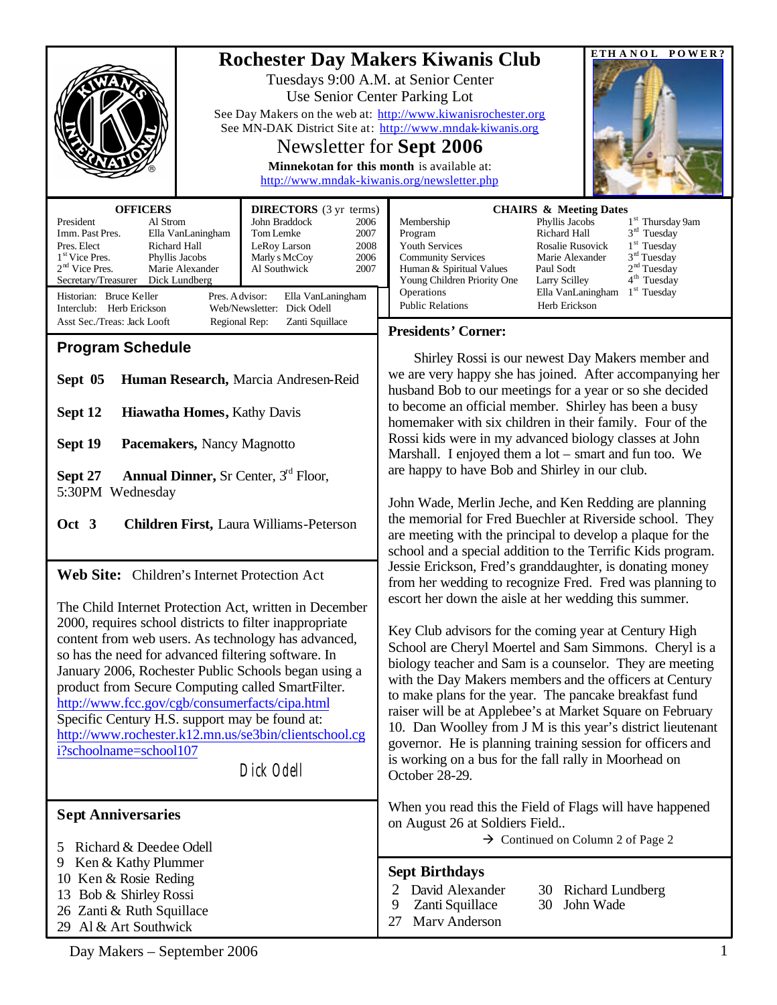| <b>OFFICERS</b><br><b>DIRECTORS</b> (3 yr terms)                                                                                                                                                                                                                                                                                                                                                                                                                                                                                                  | POWER?<br><b>ETHANOL</b><br><b>Rochester Day Makers Kiwanis Club</b><br>Tuesdays 9:00 A.M. at Senior Center<br>Use Senior Center Parking Lot<br>See Day Makers on the web at: http://www.kiwanisrochester.org<br>See MN-DAK District Site at: http://www.mndak-kiwanis.org<br>Newsletter for Sept 2006<br>Minnekotan for this month is available at:<br>http://www.mndak-kiwanis.org/newsletter.php<br><b>CHAIRS &amp; Meeting Dates</b>                                                                                                                                                                                       |
|---------------------------------------------------------------------------------------------------------------------------------------------------------------------------------------------------------------------------------------------------------------------------------------------------------------------------------------------------------------------------------------------------------------------------------------------------------------------------------------------------------------------------------------------------|--------------------------------------------------------------------------------------------------------------------------------------------------------------------------------------------------------------------------------------------------------------------------------------------------------------------------------------------------------------------------------------------------------------------------------------------------------------------------------------------------------------------------------------------------------------------------------------------------------------------------------|
| President<br>Al Strom<br>John Braddock<br>2006<br>Tom Lemke<br>Imm. Past Pres.<br>Ella VanLaningham<br>2007<br>Pres. Elect<br>Richard Hall<br>2008<br>LeRoy Larson<br>1 <sup>st</sup> Vice Pres.<br>2006<br>Phyllis Jacobs<br>Marly s McCoy<br>$2nd$ Vice Pres.<br>Marie Alexander<br>2007<br>Al Southwick<br>Secretary/Treasurer<br>Dick Lundberg<br>Historian: Bruce Keller<br>Pres. A dvisor:<br>Ella VanLaningham<br>Interclub: Herb Erickson<br>Web/Newsletter: Dick Odell                                                                   | 1 <sup>st</sup> Thursday 9am<br>Membership<br>Phyllis Jacobs<br>$3rd$ Tuesday<br>Program<br>Richard Hall<br>Youth Services<br>$1st$ Tuesday<br>Rosalie Rusovick<br>3 <sup>rd</sup> Tuesday<br><b>Community Services</b><br>Marie Alexander<br>2 <sup>nd</sup> Tuesday<br>Human & Spiritual Values<br>Paul Sodt<br>4 <sup>th</sup> Tuesday<br>Young Children Priority One<br>Larry Scilley<br>$1st$ Tuesday<br>Operations<br>Ella VanLaningham<br><b>Public Relations</b><br>Herb Erickson                                                                                                                                      |
| Asst Sec./Treas: Jack Looft<br>Regional Rep:<br>Zanti Squillace                                                                                                                                                                                                                                                                                                                                                                                                                                                                                   | <b>Presidents' Corner:</b>                                                                                                                                                                                                                                                                                                                                                                                                                                                                                                                                                                                                     |
| <b>Program Schedule</b><br>Sept 05<br>Human Research, Marcia Andresen-Reid<br>Hiawatha Homes, Kathy Davis<br>Sept 12<br>Sept 19<br>Pacemakers, Nancy Magnotto<br><b>Annual Dinner, Sr Center, 3rd Floor,</b><br>Sept 27                                                                                                                                                                                                                                                                                                                           | Shirley Rossi is our newest Day Makers member and<br>we are very happy she has joined. After accompanying her<br>husband Bob to our meetings for a year or so she decided<br>to become an official member. Shirley has been a busy<br>homemaker with six children in their family. Four of the<br>Rossi kids were in my advanced biology classes at John<br>Marshall. I enjoyed them a lot – smart and fun too. We<br>are happy to have Bob and Shirley in our club.                                                                                                                                                           |
| 5:30PM Wednesday<br>Oct 3<br><b>Children First, Laura Williams-Peterson</b>                                                                                                                                                                                                                                                                                                                                                                                                                                                                       | John Wade, Merlin Jeche, and Ken Redding are planning<br>the memorial for Fred Buechler at Riverside school. They<br>are meeting with the principal to develop a plaque for the<br>school and a special addition to the Terrific Kids program.                                                                                                                                                                                                                                                                                                                                                                                 |
| Web Site: Children's Internet Protection Act                                                                                                                                                                                                                                                                                                                                                                                                                                                                                                      | Jessie Erickson, Fred's granddaughter, is donating money<br>from her wedding to recognize Fred. Fred was planning to                                                                                                                                                                                                                                                                                                                                                                                                                                                                                                           |
| The Child Internet Protection Act, written in December<br>2000, requires school districts to filter inappropriate<br>content from web users. As technology has advanced,<br>so has the need for advanced filtering software. In<br>January 2006, Rochester Public Schools began using a<br>product from Secure Computing called SmartFilter.<br>http://www.fcc.gov/cgb/consumerfacts/cipa.html<br>Specific Century H.S. support may be found at:<br>http://www.rochester.k12.mn.us/se3bin/clientschool.cg<br>i?schoolname=school107<br>Dick Odell | escort her down the aisle at her wedding this summer.<br>Key Club advisors for the coming year at Century High<br>School are Cheryl Moertel and Sam Simmons. Cheryl is a<br>biology teacher and Sam is a counselor. They are meeting<br>with the Day Makers members and the officers at Century<br>to make plans for the year. The pancake breakfast fund<br>raiser will be at Applebee's at Market Square on February<br>10. Dan Woolley from J M is this year's district lieutenant<br>governor. He is planning training session for officers and<br>is working on a bus for the fall rally in Moorhead on<br>October 28-29. |
| <b>Sept Anniversaries</b>                                                                                                                                                                                                                                                                                                                                                                                                                                                                                                                         | When you read this the Field of Flags will have happened<br>on August 26 at Soldiers Field                                                                                                                                                                                                                                                                                                                                                                                                                                                                                                                                     |
| Richard & Deedee Odell<br>5<br>Ken & Kathy Plummer<br>9<br>10 Ken & Rosie Reding<br>13 Bob & Shirley Rossi<br>26 Zanti & Ruth Squillace<br>29 Al & Art Southwick                                                                                                                                                                                                                                                                                                                                                                                  | $\rightarrow$ Continued on Column 2 of Page 2<br><b>Sept Birthdays</b><br>David Alexander<br>Richard Lundberg<br>30<br>9<br>Zanti Squillace<br>30<br>John Wade<br>Marv Anderson<br>27                                                                                                                                                                                                                                                                                                                                                                                                                                          |

Day Makers – September 2006 1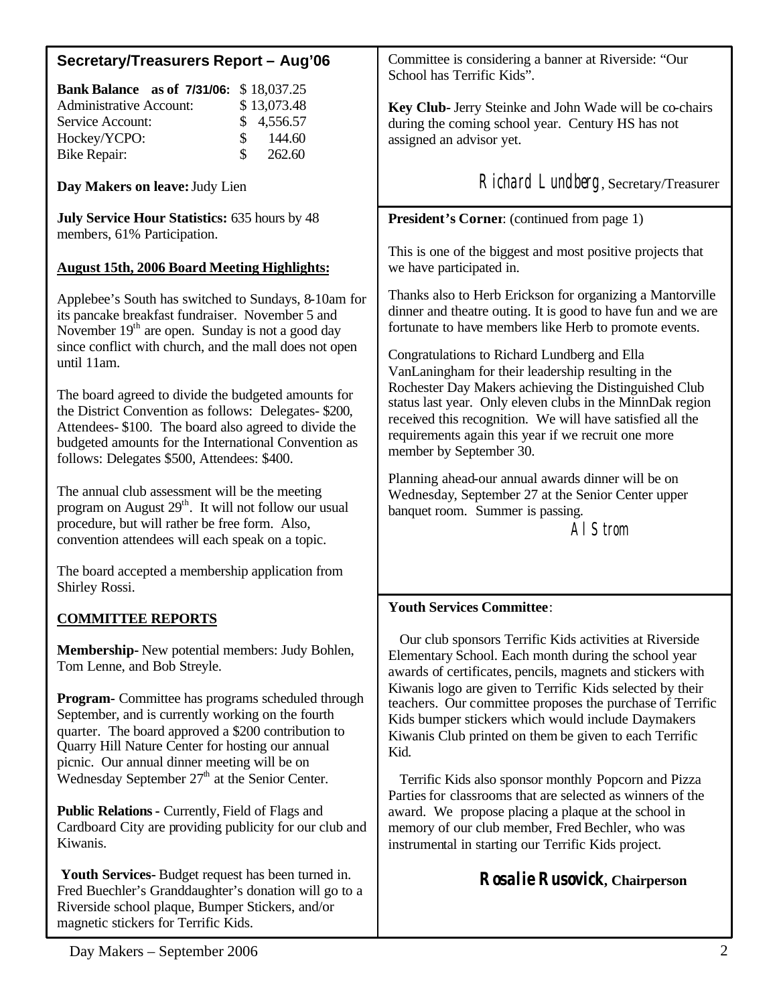# **Secretary/Treasurers Report – Aug'06**

| <b>Bank Balance</b> as of 7/31/06: \$18,037.25 |               |             |
|------------------------------------------------|---------------|-------------|
| <b>Administrative Account:</b>                 |               | \$13,073.48 |
| Service Account:                               |               | \$4,556.57  |
| Hockey/YCPO:                                   | $\mathcal{S}$ | 144.60      |
| Bike Repair:                                   | $\mathcal{S}$ | 262.60      |

**Day Makers on leave:** Judy Lien

**July Service Hour Statistics:** 635 hours by 48 members, 61% Participation.

## **August 15th, 2006 Board Meeting Highlights:**

Applebee's South has switched to Sundays, 8-10am for its pancake breakfast fundraiser. November 5 and November  $19<sup>th</sup>$  are open. Sunday is not a good day since conflict with church, and the mall does not open until 11am.

The board agreed to divide the budgeted amounts for the District Convention as follows: Delegates- \$200, Attendees- \$100. The board also agreed to divide the budgeted amounts for the International Convention as follows: Delegates \$500, Attendees: \$400.

The annual club assessment will be the meeting program on August  $29<sup>th</sup>$ . It will not follow our usual procedure, but will rather be free form. Also, convention attendees will each speak on a topic.

The board accepted a membership application from Shirley Rossi.

## **COMMITTEE REPORTS**

**Membership-** New potential members: Judy Bohlen, Tom Lenne, and Bob Streyle.

**Program-** Committee has programs scheduled through September, and is currently working on the fourth quarter. The board approved a \$200 contribution to Quarry Hill Nature Center for hosting our annual picnic. Our annual dinner meeting will be on Wednesday September  $27<sup>th</sup>$  at the Senior Center.

**Public Relations-** Currently, Field of Flags and Cardboard City are providing publicity for our club and Kiwanis.

**Youth Services-** Budget request has been turned in. Fred Buechler's Granddaughter's donation will go to a Riverside school plaque, Bumper Stickers, and/or magnetic stickers for Terrific Kids.

Committee is considering a banner at Riverside: "Our School has Terrific Kids".

**Key Club-** Jerry Steinke and John Wade will be co-chairs during the coming school year. Century HS has not assigned an advisor yet.

Richard Lundberg, Secretary/Treasurer

#### **President's Corner**: (continued from page 1)

This is one of the biggest and most positive projects that we have participated in.

Thanks also to Herb Erickson for organizing a Mantorville dinner and theatre outing. It is good to have fun and we are fortunate to have members like Herb to promote events.

Congratulations to Richard Lundberg and Ella VanLaningham for their leadership resulting in the Rochester Day Makers achieving the Distinguished Club status last year. Only eleven clubs in the MinnDak region received this recognition. We will have satisfied all the requirements again this year if we recruit one more member by September 30.

Planning ahead-our annual awards dinner will be on Wednesday, September 27 at the Senior Center upper banquet room. Summer is passing.

Al Strom

## **Youth Services Committee**:

 Our club sponsors Terrific Kids activities at Riverside Elementary School. Each month during the school year awards of certificates, pencils, magnets and stickers with Kiwanis logo are given to Terrific Kids selected by their teachers. Our committee proposes the purchase of Terrific Kids bumper stickers which would include Daymakers Kiwanis Club printed on them be given to each Terrific Kid.

 Terrific Kids also sponsor monthly Popcorn and Pizza Parties for classrooms that are selected as winners of the award. We propose placing a plaque at the school in memory of our club member, Fred Bechler, who was instrumental in starting our Terrific Kids project.

**Rosalie Rusovick, Chairperson**